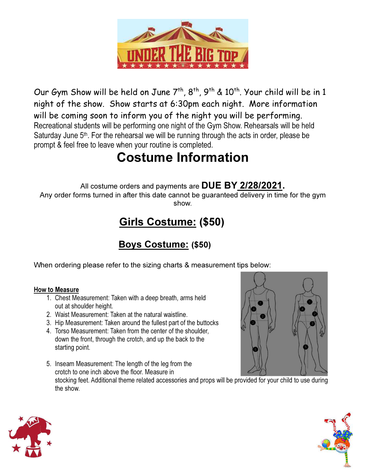

Our Gym Show will be held on June  $7<sup>th</sup>$ ,  $8<sup>th</sup>$ ,  $9<sup>th</sup>$  &  $10<sup>th</sup>$ . Your child will be in 1 night of the show. Show starts at 6:30pm each night. More information will be coming soon to inform you of the night you will be performing. Recreational students will be performing one night of the Gym Show. Rehearsals will be held Saturday June  $5<sup>th</sup>$ . For the rehearsal we will be running through the acts in order, please be prompt & feel free to leave when your routine is completed.

## Costume Information

All costume orders and payments are DUE BY 2/28/2021.

Any order forms turned in after this date cannot be guaranteed delivery in time for the gym show.

### Girls Costume: (\$50)

#### Boys Costume: (\$50)

When ordering please refer to the sizing charts & measurement tips below:

#### How to Measure

- 1. Chest Measurement: Taken with a deep breath, arms held out at shoulder height.
- 2. Waist Measurement: Taken at the natural waistline.
- 3. Hip Measurement: Taken around the fullest part of the buttocks
- 4. Torso Measurement: Taken from the center of the shoulder, down the front, through the crotch, and up the back to the starting point.
- 5. Inseam Measurement: The length of the leg from the crotch to one inch above the floor. Measure in stocking feet. Additional theme related accessories and props will be provided for your child to use during the show.